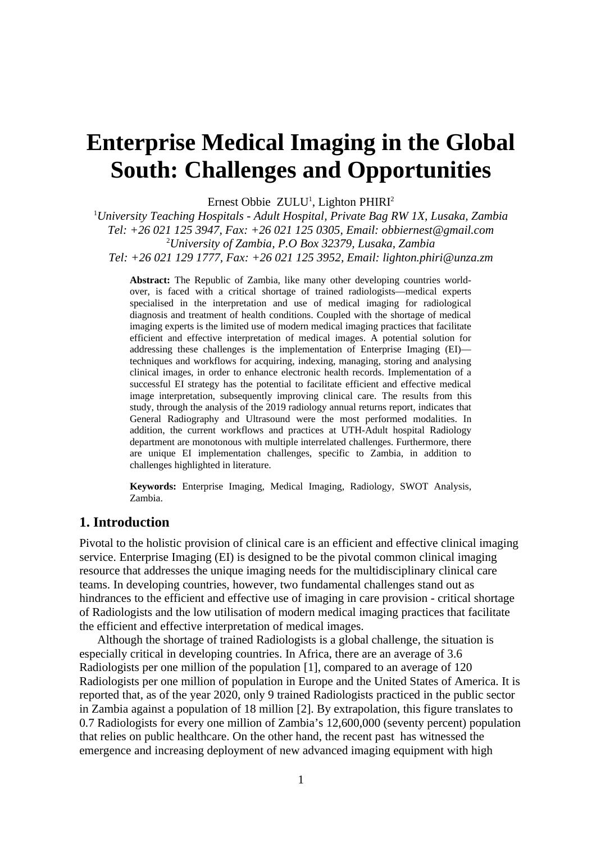# **Enterprise Medical Imaging in the Global South: Challenges and Opportunities**

Ernest Obbie ZULU<sup>1</sup>, Lighton PHIRI<sup>2</sup>

<sup>1</sup>*University Teaching Hospitals - Adult Hospital, Private Bag RW 1X, Lusaka, Zambia Tel: +26 021 125 3947, Fax: +26 021 125 0305, Email: obbiernest@gmail.com* <sup>2</sup>*University of Zambia, P.O Box 32379, Lusaka, Zambia Tel: +26 021 129 1777, Fax: +26 021 125 3952, Email: lighton.phiri@unza.zm*

**Abstract:** The Republic of Zambia, like many other developing countries worldover, is faced with a critical shortage of trained radiologists—medical experts specialised in the interpretation and use of medical imaging for radiological diagnosis and treatment of health conditions. Coupled with the shortage of medical imaging experts is the limited use of modern medical imaging practices that facilitate efficient and effective interpretation of medical images. A potential solution for addressing these challenges is the implementation of Enterprise Imaging (EI) techniques and workflows for acquiring, indexing, managing, storing and analysing clinical images, in order to enhance electronic health records. Implementation of a successful EI strategy has the potential to facilitate efficient and effective medical image interpretation, subsequently improving clinical care. The results from this study, through the analysis of the 2019 radiology annual returns report, indicates that General Radiography and Ultrasound were the most performed modalities. In addition, the current workflows and practices at UTH-Adult hospital Radiology department are monotonous with multiple interrelated challenges. Furthermore, there are unique EI implementation challenges, specific to Zambia, in addition to challenges highlighted in literature.

**Keywords:** Enterprise Imaging, Medical Imaging, Radiology, SWOT Analysis, Zambia.

#### **1. Introduction**

Pivotal to the holistic provision of clinical care is an efficient and effective clinical imaging service. Enterprise Imaging (EI) is designed to be the pivotal common clinical imaging resource that addresses the unique imaging needs for the multidisciplinary clinical care teams. In developing countries, however, two fundamental challenges stand out as hindrances to the efficient and effective use of imaging in care provision - critical shortage of Radiologists and the low utilisation of modern medical imaging practices that facilitate the efficient and effective interpretation of medical images.

Although the shortage of trained Radiologists is a global challenge, the situation is especially critical in developing countries. In Africa, there are an average of 3.6 Radiologists per one million of the population [\[1\],](https://paperpile.com/c/tVndUg/hMYw) compared to an average of 120 Radiologists per one million of population in Europe and the United States of America. It is reported that, as of the year 2020, only 9 trained Radiologists practiced in the public sector in Zambia against a population of 18 million [\[2\].](https://paperpile.com/c/tVndUg/3pR4) By extrapolation, this figure translates to 0.7 Radiologists for every one million of Zambia's 12,600,000 (seventy percent) population that relies on public healthcare. On the other hand, the recent past has witnessed the emergence and increasing deployment of new advanced imaging equipment with high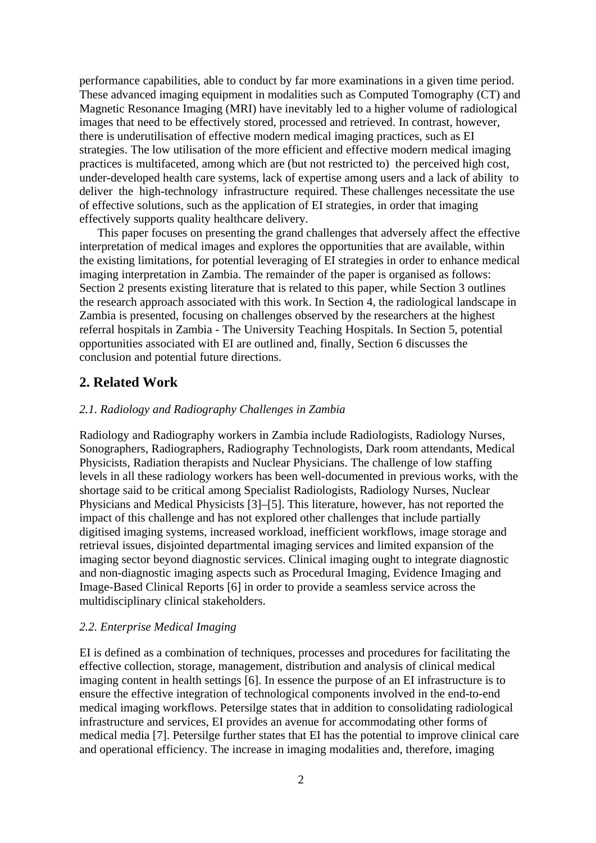performance capabilities, able to conduct by far more examinations in a given time period. These advanced imaging equipment in modalities such as Computed Tomography (CT) and Magnetic Resonance Imaging (MRI) have inevitably led to a higher volume of radiological images that need to be effectively stored, processed and retrieved. In contrast, however, there is underutilisation of effective modern medical imaging practices, such as EI strategies. The low utilisation of the more efficient and effective modern medical imaging practices is multifaceted, among which are (but not restricted to) the perceived high cost, under-developed health care systems, lack of expertise among users and a lack of ability to deliver the high-technology infrastructure required. These challenges necessitate the use of effective solutions, such as the application of EI strategies, in order that imaging effectively supports quality healthcare delivery.

This paper focuses on presenting the grand challenges that adversely affect the effective interpretation of medical images and explores the opportunities that are available, within the existing limitations, for potential leveraging of EI strategies in order to enhance medical imaging interpretation in Zambia. The remainder of the paper is organised as follows: Section 2 presents existing literature that is related to this paper, while Section 3 outlines the research approach associated with this work. In Section 4, the radiological landscape in Zambia is presented, focusing on challenges observed by the researchers at the highest referral hospitals in Zambia - The University Teaching Hospitals. In Section 5, potential opportunities associated with EI are outlined and, finally, Section 6 discusses the conclusion and potential future directions.

# **2. Related Work**

## *2.1. Radiology and Radiography Challenges in Zambia*

Radiology and Radiography workers in Zambia include Radiologists, Radiology Nurses, Sonographers, Radiographers, Radiography Technologists, Dark room attendants, Medical Physicists, Radiation therapists and Nuclear Physicians. The challenge of low staffing levels in all these radiology workers has been well-documented in previous works, with the shortage said to be critical among Specialist Radiologists, Radiology Nurses, Nuclear Physicians and Medical Physicists [\[3\]–\[5\]](https://paperpile.com/c/tVndUg/072z+c63h+sKWl). This literature, however, has not reported the impact of this challenge and has not explored other challenges that include partially digitised imaging systems, increased workload, inefficient workflows, image storage and retrieval issues, disjointed departmental imaging services and limited expansion of the imaging sector beyond diagnostic services. Clinical imaging ought to integrate diagnostic and non-diagnostic imaging aspects such as Procedural Imaging, Evidence Imaging and Image-Based Clinical Reports [\[6\]](https://paperpile.com/c/tVndUg/uGM5) in order to provide a seamless service across the multidisciplinary clinical stakeholders.

#### *2.2. Enterprise Medical Imaging*

EI is defined as a combination of techniques, processes and procedures for facilitating the effective collection, storage, management, distribution and analysis of clinical medical imaging content in health settings [\[6\]](https://paperpile.com/c/tVndUg/uGM5). In essence the purpose of an EI infrastructure is to ensure the effective integration of technological components involved in the end-to-end medical imaging workflows. Petersilge states that in addition to consolidating radiological infrastructure and services, EI provides an avenue for accommodating other forms of medical media [\[7\].](https://paperpile.com/c/tVndUg/GR6U) Petersilge further states that EI has the potential to improve clinical care and operational efficiency. The increase in imaging modalities and, therefore, imaging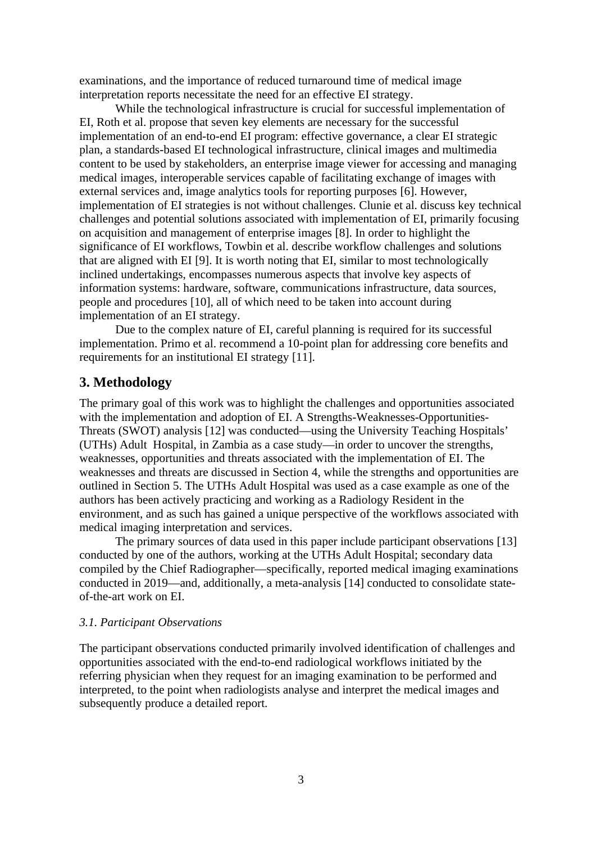examinations, and the importance of reduced turnaround time of medical image interpretation reports necessitate the need for an effective EI strategy.

While the technological infrastructure is crucial for successful implementation of EI, Roth et al. propose that seven key elements are necessary for the successful implementation of an end-to-end EI program: effective governance, a clear EI strategic plan, a standards-based EI technological infrastructure, clinical images and multimedia content to be used by stakeholders, an enterprise image viewer for accessing and managing medical images, interoperable services capable of facilitating exchange of images with external services and, image analytics tools for reporting purposes [\[6\].](https://paperpile.com/c/tVndUg/uGM5) However, implementation of EI strategies is not without challenges. Clunie et al. discuss key technical challenges and potential solutions associated with implementation of EI, primarily focusing on acquisition and management of enterprise images [\[8\].](https://paperpile.com/c/tVndUg/yPZP) In order to highlight the significance of EI workflows, Towbin et al. describe workflow challenges and solutions that are aligned with EI [\[9\]](https://paperpile.com/c/tVndUg/Rsjl). It is worth noting that EI, similar to most technologically inclined undertakings, encompasses numerous aspects that involve key aspects of information systems: hardware, software, communications infrastructure, data sources, people and procedures [\[10\]](https://paperpile.com/c/tVndUg/544I), all of which need to be taken into account during implementation of an EI strategy.

Due to the complex nature of EI, careful planning is required for its successful implementation. Primo et al. recommend a 10-point plan for addressing core benefits and requirements for an institutional EI strategy [\[11\].](https://paperpile.com/c/tVndUg/TUGV)

# **3. Methodology**

The primary goal of this work was to highlight the challenges and opportunities associated with the implementation and adoption of EI. A Strengths-Weaknesses-Opportunities-Threats (SWOT) analysis [\[12\]](https://paperpile.com/c/tVndUg/vEeD) was conducted—using the University Teaching Hospitals' (UTHs) Adult Hospital, in Zambia as a case study—in order to uncover the strengths, weaknesses, opportunities and threats associated with the implementation of EI. The weaknesses and threats are discussed in Section 4, while the strengths and opportunities are outlined in Section 5. The UTHs Adult Hospital was used as a case example as one of the authors has been actively practicing and working as a Radiology Resident in the environment, and as such has gained a unique perspective of the workflows associated with medical imaging interpretation and services.

The primary sources of data used in this paper include participant observations [\[13\]](https://paperpile.com/c/tVndUg/yIWD) conducted by one of the authors, working at the UTHs Adult Hospital; secondary data compiled by the Chief Radiographer—specifically, reported medical imaging examinations conducted in 2019—and, additionally, a meta-analysis [\[14\]](https://paperpile.com/c/tVndUg/XOcx) conducted to consolidate stateof-the-art work on EI.

## *3.1. Participant Observations*

The participant observations conducted primarily involved identification of challenges and opportunities associated with the end-to-end radiological workflows initiated by the referring physician when they request for an imaging examination to be performed and interpreted, to the point when radiologists analyse and interpret the medical images and subsequently produce a detailed report.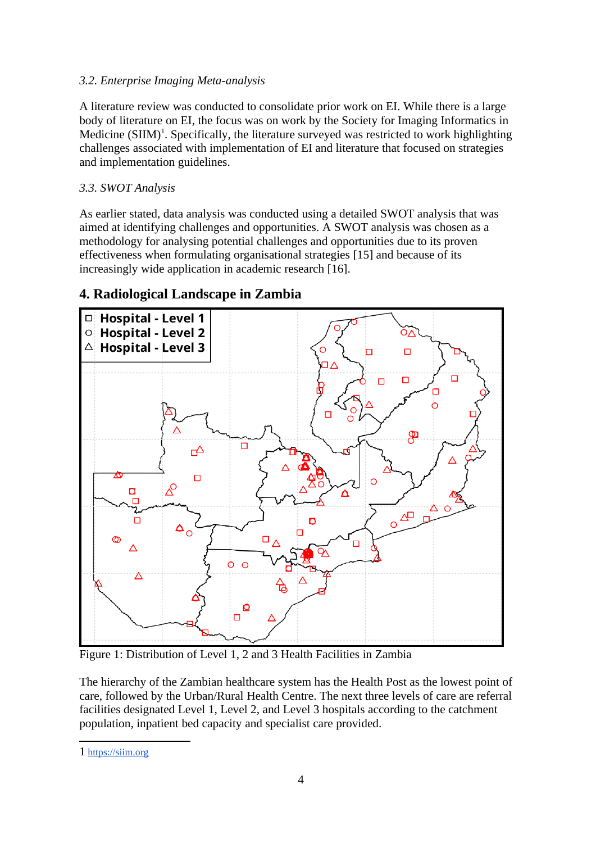# *3.2. Enterprise Imaging Meta-analysis*

A literature review was conducted to consolidate prior work on EI. While there is a large body of literature on EI, the focus was on work by the Society for Imaging Informatics in Medicine  $(SIM)^1$  $(SIM)^1$ . Specifically, the literature surveyed was restricted to work highlighting challenges associated with implementation of EI and literature that focused on strategies and implementation guidelines.

# *3.3. SWOT Analysis*

As earlier stated, data analysis was conducted using a detailed SWOT analysis that was aimed at identifying challenges and opportunities. A SWOT analysis was chosen as a methodology for analysing potential challenges and opportunities due to its proven effectiveness when formulating organisational strategies [\[15\]](https://paperpile.com/c/tVndUg/TJEh) and because of its increasingly wide application in academic research [\[16\]](https://paperpile.com/c/tVndUg/p3vs).



# **4. Radiological Landscape in Zambia**

Figure 1: Distribution of Level 1, 2 and 3 Health Facilities in Zambia

The hierarchy of the Zambian healthcare system has the Health Post as the lowest point of care, followed by the Urban/Rural Health Centre. The next three levels of care are referral facilities designated Level 1, Level 2, and Level 3 hospitals according to the catchment population, inpatient bed capacity and specialist care provided.

<span id="page-3-0"></span><sup>1</sup> [https://siim.org](https://siim.org/)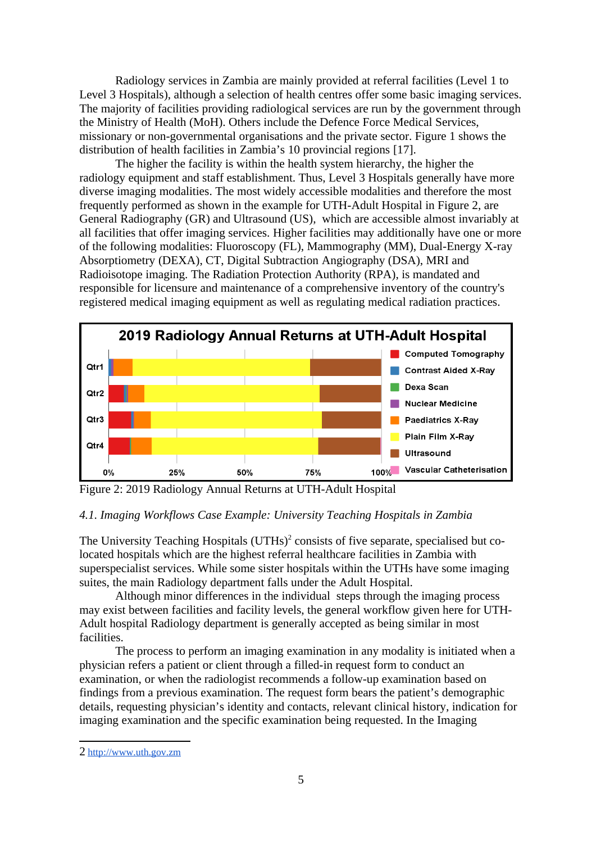Radiology services in Zambia are mainly provided at referral facilities (Level 1 to Level 3 Hospitals), although a selection of health centres offer some basic imaging services. The majority of facilities providing radiological services are run by the government through the Ministry of Health (MoH). Others include the Defence Force Medical Services, missionary or non-governmental organisations and the private sector. Figure 1 shows the distribution of health facilities in Zambia's 10 provincial regions [\[17\].](https://paperpile.com/c/tVndUg/WhYK)

The higher the facility is within the health system hierarchy, the higher the radiology equipment and staff establishment. Thus, Level 3 Hospitals generally have more diverse imaging modalities. The most widely accessible modalities and therefore the most frequently performed as shown in the example for UTH-Adult Hospital in Figure 2, are General Radiography (GR) and Ultrasound (US), which are accessible almost invariably at all facilities that offer imaging services. Higher facilities may additionally have one or more of the following modalities: Fluoroscopy (FL), Mammography (MM), Dual-Energy X-ray Absorptiometry (DEXA), CT, Digital Subtraction Angiography (DSA), MRI and Radioisotope imaging. The Radiation Protection Authority (RPA), is mandated and responsible for licensure and maintenance of a comprehensive inventory of the country's registered medical imaging equipment as well as regulating medical radiation practices.



Figure 2: 2019 Radiology Annual Returns at UTH-Adult Hospital

# *4.1. Imaging Workflows Case Example: University Teaching Hospitals in Zambia*

The University Teaching Hospitals (UTHs)<sup>[2](#page-4-0)</sup> consists of five separate, specialised but colocated hospitals which are the highest referral healthcare facilities in Zambia with superspecialist services. While some sister hospitals within the UTHs have some imaging suites, the main Radiology department falls under the Adult Hospital.

Although minor differences in the individual steps through the imaging process may exist between facilities and facility levels, the general workflow given here for UTH-Adult hospital Radiology department is generally accepted as being similar in most facilities.

The process to perform an imaging examination in any modality is initiated when a physician refers a patient or client through a filled-in request form to conduct an examination, or when the radiologist recommends a follow-up examination based on findings from a previous examination. The request form bears the patient's demographic details, requesting physician's identity and contacts, relevant clinical history, indication for imaging examination and the specific examination being requested. In the Imaging

<span id="page-4-0"></span><sup>2</sup> [http://www.uth.gov.zm](http://www.uth.gov.zm/)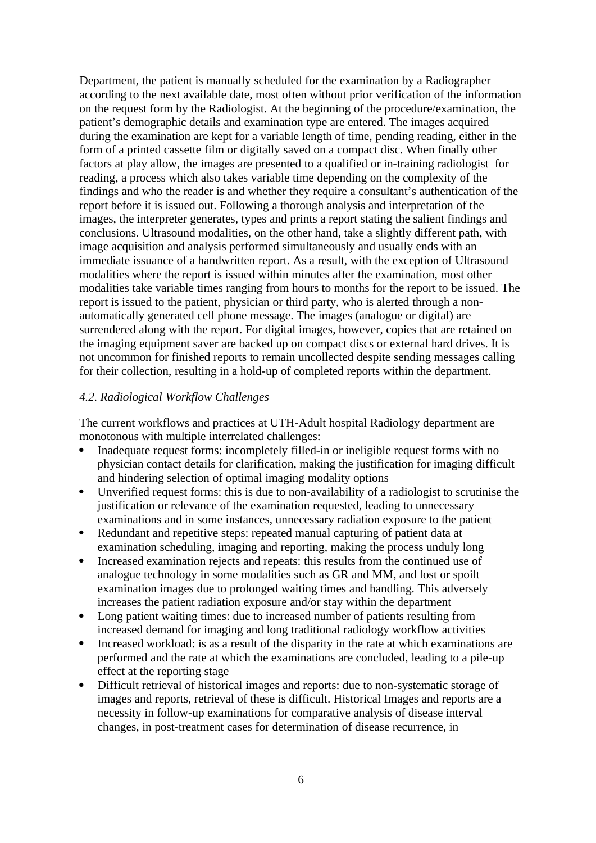Department, the patient is manually scheduled for the examination by a Radiographer according to the next available date, most often without prior verification of the information on the request form by the Radiologist. At the beginning of the procedure/examination, the patient's demographic details and examination type are entered. The images acquired during the examination are kept for a variable length of time, pending reading, either in the form of a printed cassette film or digitally saved on a compact disc. When finally other factors at play allow, the images are presented to a qualified or in-training radiologist for reading, a process which also takes variable time depending on the complexity of the findings and who the reader is and whether they require a consultant's authentication of the report before it is issued out. Following a thorough analysis and interpretation of the images, the interpreter generates, types and prints a report stating the salient findings and conclusions. Ultrasound modalities, on the other hand, take a slightly different path, with image acquisition and analysis performed simultaneously and usually ends with an immediate issuance of a handwritten report. As a result, with the exception of Ultrasound modalities where the report is issued within minutes after the examination, most other modalities take variable times ranging from hours to months for the report to be issued. The report is issued to the patient, physician or third party, who is alerted through a nonautomatically generated cell phone message. The images (analogue or digital) are surrendered along with the report. For digital images, however, copies that are retained on the imaging equipment saver are backed up on compact discs or external hard drives. It is not uncommon for finished reports to remain uncollected despite sending messages calling for their collection, resulting in a hold-up of completed reports within the department.

# *4.2. Radiological Workflow Challenges*

The current workflows and practices at UTH-Adult hospital Radiology department are monotonous with multiple interrelated challenges:

- Inadequate request forms: incompletely filled-in or ineligible request forms with no physician contact details for clarification, making the justification for imaging difficult and hindering selection of optimal imaging modality options
- Unverified request forms: this is due to non-availability of a radiologist to scrutinise the justification or relevance of the examination requested, leading to unnecessary examinations and in some instances, unnecessary radiation exposure to the patient
- Redundant and repetitive steps: repeated manual capturing of patient data at examination scheduling, imaging and reporting, making the process unduly long
- Increased examination rejects and repeats: this results from the continued use of analogue technology in some modalities such as GR and MM, and lost or spoilt examination images due to prolonged waiting times and handling. This adversely increases the patient radiation exposure and/or stay within the department
- Long patient waiting times: due to increased number of patients resulting from increased demand for imaging and long traditional radiology workflow activities
- Increased workload: is as a result of the disparity in the rate at which examinations are performed and the rate at which the examinations are concluded, leading to a pile-up effect at the reporting stage
- Difficult retrieval of historical images and reports: due to non-systematic storage of images and reports, retrieval of these is difficult. Historical Images and reports are a necessity in follow-up examinations for comparative analysis of disease interval changes, in post-treatment cases for determination of disease recurrence, in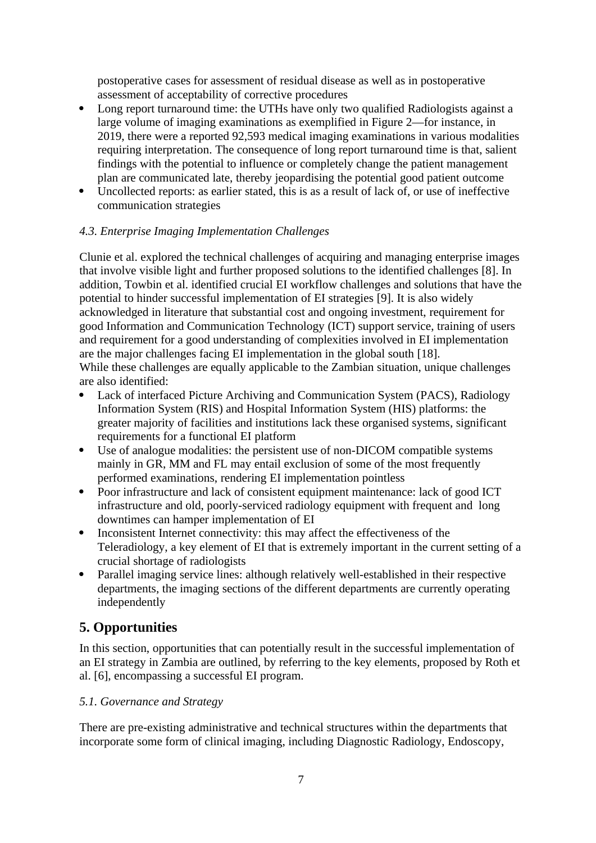postoperative cases for assessment of residual disease as well as in postoperative assessment of acceptability of corrective procedures

- Long report turnaround time: the UTHs have only two qualified Radiologists against a large volume of imaging examinations as exemplified in Figure 2—for instance, in 2019, there were a reported 92,593 medical imaging examinations in various modalities requiring interpretation. The consequence of long report turnaround time is that, salient findings with the potential to influence or completely change the patient management plan are communicated late, thereby jeopardising the potential good patient outcome
- Uncollected reports: as earlier stated, this is as a result of lack of, or use of ineffective communication strategies

## *4.3. Enterprise Imaging Implementation Challenges*

Clunie et al. explored the technical challenges of acquiring and managing enterprise images that involve visible light and further proposed solutions to the identified challenges [\[8\]](https://paperpile.com/c/tVndUg/yPZP). In addition, Towbin et al. identified crucial EI workflow challenges and solutions that have the potential to hinder successful implementation of EI strategies [\[9\].](https://paperpile.com/c/tVndUg/Rsjl) It is also widely acknowledged in literature that substantial cost and ongoing investment, requirement for good Information and Communication Technology (ICT) support service, training of users and requirement for a good understanding of complexities involved in EI implementation are the major challenges facing EI implementation in the global south [\[18\].](https://paperpile.com/c/tVndUg/PtVA) While these challenges are equally applicable to the Zambian situation, unique challenges are also identified:

- Lack of interfaced Picture Archiving and Communication System (PACS), Radiology Information System (RIS) and Hospital Information System (HIS) platforms: the greater majority of facilities and institutions lack these organised systems, significant requirements for a functional EI platform
- Use of analogue modalities: the persistent use of non-DICOM compatible systems mainly in GR, MM and FL may entail exclusion of some of the most frequently performed examinations, rendering EI implementation pointless
- Poor infrastructure and lack of consistent equipment maintenance: lack of good ICT infrastructure and old, poorly-serviced radiology equipment with frequent and long downtimes can hamper implementation of EI
- Inconsistent Internet connectivity: this may affect the effectiveness of the Teleradiology, a key element of EI that is extremely important in the current setting of a crucial shortage of radiologists
- Parallel imaging service lines: although relatively well-established in their respective departments, the imaging sections of the different departments are currently operating independently

# **5. Opportunities**

In this section, opportunities that can potentially result in the successful implementation of an EI strategy in Zambia are outlined, by referring to the key elements, proposed by Roth et al. [\[6\]](https://paperpile.com/c/tVndUg/uGM5), encompassing a successful EI program.

## *5.1. Governance and Strategy*

There are pre-existing administrative and technical structures within the departments that incorporate some form of clinical imaging, including Diagnostic Radiology, Endoscopy,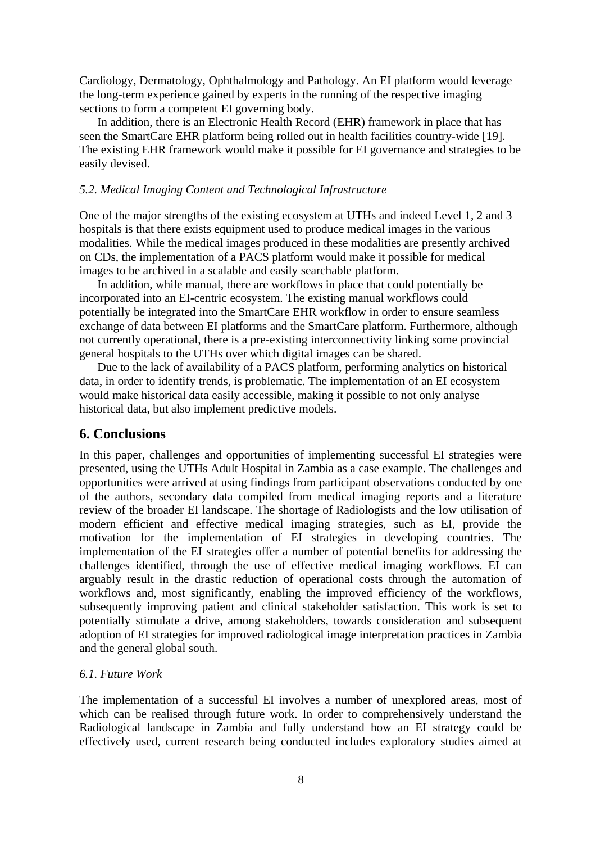Cardiology, Dermatology, Ophthalmology and Pathology. An EI platform would leverage the long-term experience gained by experts in the running of the respective imaging sections to form a competent EI governing body.

In addition, there is an Electronic Health Record (EHR) framework in place that has seen the SmartCare EHR platform being rolled out in health facilities country-wide [\[19\].](https://paperpile.com/c/tVndUg/8lDc) The existing EHR framework would make it possible for EI governance and strategies to be easily devised.

#### *5.2. Medical Imaging Content and Technological Infrastructure*

One of the major strengths of the existing ecosystem at UTHs and indeed Level 1, 2 and 3 hospitals is that there exists equipment used to produce medical images in the various modalities. While the medical images produced in these modalities are presently archived on CDs, the implementation of a PACS platform would make it possible for medical images to be archived in a scalable and easily searchable platform.

In addition, while manual, there are workflows in place that could potentially be incorporated into an EI-centric ecosystem. The existing manual workflows could potentially be integrated into the SmartCare EHR workflow in order to ensure seamless exchange of data between EI platforms and the SmartCare platform. Furthermore, although not currently operational, there is a pre-existing interconnectivity linking some provincial general hospitals to the UTHs over which digital images can be shared.

Due to the lack of availability of a PACS platform, performing analytics on historical data, in order to identify trends, is problematic. The implementation of an EI ecosystem would make historical data easily accessible, making it possible to not only analyse historical data, but also implement predictive models.

# **6. Conclusions**

In this paper, challenges and opportunities of implementing successful EI strategies were presented, using the UTHs Adult Hospital in Zambia as a case example. The challenges and opportunities were arrived at using findings from participant observations conducted by one of the authors, secondary data compiled from medical imaging reports and a literature review of the broader EI landscape. The shortage of Radiologists and the low utilisation of modern efficient and effective medical imaging strategies, such as EI, provide the motivation for the implementation of EI strategies in developing countries. The implementation of the EI strategies offer a number of potential benefits for addressing the challenges identified, through the use of effective medical imaging workflows. EI can arguably result in the drastic reduction of operational costs through the automation of workflows and, most significantly, enabling the improved efficiency of the workflows, subsequently improving patient and clinical stakeholder satisfaction. This work is set to potentially stimulate a drive, among stakeholders, towards consideration and subsequent adoption of EI strategies for improved radiological image interpretation practices in Zambia and the general global south.

# *6.1. Future Work*

The implementation of a successful EI involves a number of unexplored areas, most of which can be realised through future work. In order to comprehensively understand the Radiological landscape in Zambia and fully understand how an EI strategy could be effectively used, current research being conducted includes exploratory studies aimed at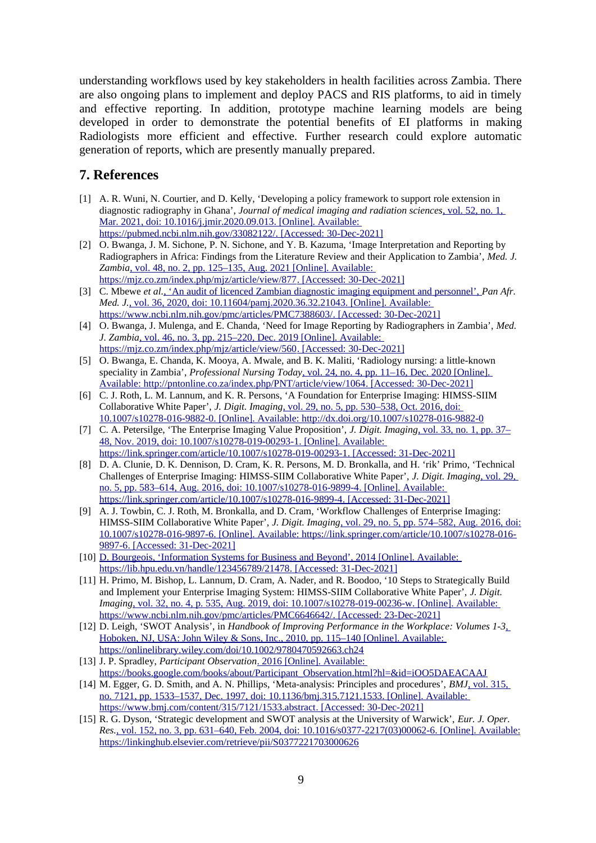understanding workflows used by key stakeholders in health facilities across Zambia. There are also ongoing plans to implement and deploy PACS and RIS platforms, to aid in timely and effective reporting. In addition, prototype machine learning models are being developed in order to demonstrate the potential benefits of EI platforms in making Radiologists more efficient and effective. Further research could explore automatic generation of reports, which are presently manually prepared.

# **7. References**

- [1] [A. R. Wuni, N. Courtier, and D. Kelly, 'Developing a policy framework to support role extension in](http://paperpile.com/b/tVndUg/hMYw)  [diagnostic radiography in Ghana',](http://paperpile.com/b/tVndUg/hMYw) *[Journal of medical imaging and radiation sciences](http://paperpile.com/b/tVndUg/hMYw)*[, vol. 52, no. 1,](http://paperpile.com/b/tVndUg/hMYw)   [Mar. 2021, doi:](http://paperpile.com/b/tVndUg/hMYw) [10.1016/j.jmir.2020.09.013](http://dx.doi.org/10.1016/j.jmir.2020.09.013) [. \[Online\]. Available:](http://paperpile.com/b/tVndUg/hMYw)  <https://pubmed.ncbi.nlm.nih.gov/33082122/> [. \[Accessed: 30-Dec-2021\]](http://paperpile.com/b/tVndUg/hMYw)
- [2] [O. Bwanga, J. M. Sichone, P. N. Sichone, and Y. B. Kazuma, 'Image Interpretation and Reporting by](http://paperpile.com/b/tVndUg/3pR4)  [Radiographers in Africa: Findings from the Literature Review and their Application to Zambia',](http://paperpile.com/b/tVndUg/3pR4) *[Med. J.](http://paperpile.com/b/tVndUg/3pR4)  [Zambia](http://paperpile.com/b/tVndUg/3pR4)*[, vol. 48, no. 2, pp. 125–135, Aug. 2021 \[Online\]. Available:](http://paperpile.com/b/tVndUg/3pR4)  <https://mjz.co.zm/index.php/mjz/article/view/877> [. \[Accessed: 30-Dec-2021\]](http://paperpile.com/b/tVndUg/3pR4)
- [3] [C. Mbewe](http://paperpile.com/b/tVndUg/072z) *[et al.](http://paperpile.com/b/tVndUg/072z) An audit of licenced Zambian diagnostic imaging equipment and personnel'*, *Pan Afr. [Med. J.](http://paperpile.com/b/tVndUg/072z)* [, vol. 36, 2020, doi:](http://paperpile.com/b/tVndUg/072z) [10.11604/pamj.2020.36.32.21043](http://dx.doi.org/10.11604/pamj.2020.36.32.21043) [. \[Online\]. Available:](http://paperpile.com/b/tVndUg/072z)  <https://www.ncbi.nlm.nih.gov/pmc/articles/PMC7388603/> [. \[Accessed: 30-Dec-2021\]](http://paperpile.com/b/tVndUg/072z)
- [4] [O. Bwanga, J. Mulenga, and E. Chanda, 'Need for Image Reporting by Radiographers in Zambia',](http://paperpile.com/b/tVndUg/c63h) *[Med.](http://paperpile.com/b/tVndUg/c63h)  [J. Zambia](http://paperpile.com/b/tVndUg/c63h)*[, vol. 46, no. 3, pp. 215–220, Dec. 2019 \[Online\]. Available:](http://paperpile.com/b/tVndUg/c63h)  <https://mjz.co.zm/index.php/mjz/article/view/560> [. \[Accessed: 30-Dec-2021\]](http://paperpile.com/b/tVndUg/c63h)
- [5] [O. Bwanga, E. Chanda, K. Mooya, A. Mwale, and B. K. Maliti, 'Radiology nursing: a little-known](http://paperpile.com/b/tVndUg/sKWl)  [speciality in Zambia',](http://paperpile.com/b/tVndUg/sKWl) *[Professional Nursing Today](http://paperpile.com/b/tVndUg/sKWl)*[, vol. 24, no. 4, pp. 11–16, Dec. 2020 \[Online\].](http://paperpile.com/b/tVndUg/sKWl)   [Available:](http://paperpile.com/b/tVndUg/sKWl) <http://pntonline.co.za/index.php/PNT/article/view/1064> [. \[Accessed: 30-Dec-2021\]](http://paperpile.com/b/tVndUg/sKWl)
- [6] [C. J. Roth, L. M. Lannum, and K. R. Persons, 'A Foundation for Enterprise Imaging: HIMSS-SIIM](http://paperpile.com/b/tVndUg/uGM5)  [Collaborative White Paper',](http://paperpile.com/b/tVndUg/uGM5) *[J. Digit. Imaging](http://paperpile.com/b/tVndUg/uGM5)*[, vol. 29, no. 5, pp. 530–538, Oct. 2016, doi:](http://paperpile.com/b/tVndUg/uGM5)   [10.1007/s10278-016-9882-0](http://dx.doi.org/10.1007/s10278-016-9882-0) [. \[Online\]. Available:](http://paperpile.com/b/tVndUg/uGM5) <http://dx.doi.org/10.1007/s10278-016-9882-0>
- [7] [C. A. Petersilge, 'The Enterprise Imaging Value Proposition',](http://paperpile.com/b/tVndUg/GR6U) *[J. Digit. Imaging](http://paperpile.com/b/tVndUg/GR6U)*[, vol. 33, no. 1, pp. 37–](http://paperpile.com/b/tVndUg/GR6U)  [48, Nov. 2019, doi:](http://paperpile.com/b/tVndUg/GR6U) [10.1007/s10278-019-00293-1](http://dx.doi.org/10.1007/s10278-019-00293-1) [. \[Online\]. Available:](http://paperpile.com/b/tVndUg/GR6U)  <https://link.springer.com/article/10.1007/s10278-019-00293-1> [. \[Accessed: 31-Dec-2021\]](http://paperpile.com/b/tVndUg/GR6U)
- [8] [D. A. Clunie, D. K. Dennison, D. Cram, K. R. Persons, M. D. Bronkalla, and H. 'rik' Primo, 'Technical](http://paperpile.com/b/tVndUg/yPZP)  [Challenges of Enterprise Imaging: HIMSS-SIIM Collaborative White Paper',](http://paperpile.com/b/tVndUg/yPZP) *[J. Digit. Imaging](http://paperpile.com/b/tVndUg/yPZP)*[, vol. 29,](http://paperpile.com/b/tVndUg/yPZP)   [no. 5, pp. 583–614, Aug. 2016, doi:](http://paperpile.com/b/tVndUg/yPZP) [10.1007/s10278-016-9899-4](http://dx.doi.org/10.1007/s10278-016-9899-4) [. \[Online\]. Available:](http://paperpile.com/b/tVndUg/yPZP)  <https://link.springer.com/article/10.1007/s10278-016-9899-4> [. \[Accessed: 31-Dec-2021\]](http://paperpile.com/b/tVndUg/yPZP)
- [9] [A. J. Towbin, C. J. Roth, M. Bronkalla, and D. Cram, 'Workflow Challenges of Enterprise Imaging:](http://paperpile.com/b/tVndUg/Rsjl)  [HIMSS-SIIM Collaborative White Paper',](http://paperpile.com/b/tVndUg/Rsjl) *[J. Digit. Imaging](http://paperpile.com/b/tVndUg/Rsjl)*[, vol. 29, no. 5, pp. 574–582, Aug. 2016, doi:](http://paperpile.com/b/tVndUg/Rsjl)  [10.1007/s10278-016-9897-6](http://dx.doi.org/10.1007/s10278-016-9897-6) [. \[Online\]. Available:](http://paperpile.com/b/tVndUg/Rsjl) [https://link.springer.com/article/10.1007/s10278-016-](https://link.springer.com/article/10.1007/s10278-016-9897-6)  [9897-6](https://link.springer.com/article/10.1007/s10278-016-9897-6) [. \[Accessed: 31-Dec-2021\]](http://paperpile.com/b/tVndUg/Rsjl)
- [10] [D. Bourgeois, 'Information Systems for Business and Beyond', 2014 \[Online\]. Available:](http://paperpile.com/b/tVndUg/544I)  <https://lib.hpu.edu.vn/handle/123456789/21478> [. \[Accessed: 31-Dec-2021\]](http://paperpile.com/b/tVndUg/544I)
- [11] [H. Primo, M. Bishop, L. Lannum, D. Cram, A. Nader, and R. Boodoo, '10 Steps to Strategically Build](http://paperpile.com/b/tVndUg/TUGV)  [and Implement your Enterprise Imaging System: HIMSS-SIIM Collaborative White Paper',](http://paperpile.com/b/tVndUg/TUGV) *[J. Digit.](http://paperpile.com/b/tVndUg/TUGV)  [Imaging](http://paperpile.com/b/tVndUg/TUGV)* [, vol. 32, no. 4, p. 535, Aug. 2019, doi:](http://paperpile.com/b/tVndUg/TUGV) [10.1007/s10278-019-00236-w](http://dx.doi.org/10.1007/s10278-019-00236-w) [. \[Online\]. Available:](http://paperpile.com/b/tVndUg/TUGV)  <https://www.ncbi.nlm.nih.gov/pmc/articles/PMC6646642/> [. \[Accessed: 23-Dec-2021\]](http://paperpile.com/b/tVndUg/TUGV)
- [12] [D. Leigh, 'SWOT Analysis', in](http://paperpile.com/b/tVndUg/vEeD) *[Handbook of Improving Performance in the Workplace: Volumes 1-3](http://paperpile.com/b/tVndUg/vEeD)*[,](http://paperpile.com/b/tVndUg/vEeD)  [Hoboken, NJ, USA: John Wiley & Sons, Inc., 2010, pp. 115–140 \[Online\]. Available:](http://paperpile.com/b/tVndUg/vEeD)  <https://onlinelibrary.wiley.com/doi/10.1002/9780470592663.ch24>
- [13] [J. P. Spradley,](http://paperpile.com/b/tVndUg/yIWD) *[Participant Observation](http://paperpile.com/b/tVndUg/yIWD)*[. 2016 \[Online\]. Available:](http://paperpile.com/b/tVndUg/yIWD)  [https://books.google.com/books/about/Participant\\_Observation.html?hl=&id=iOO5DAEACAAJ](https://books.google.com/books/about/Participant_Observation.html?hl=&id=iOO5DAEACAAJ)
- [14] [M. Egger, G. D. Smith, and A. N. Phillips, 'Meta-analysis: Principles and procedures',](http://paperpile.com/b/tVndUg/XOcx) *[BMJ](http://paperpile.com/b/tVndUg/XOcx)*[, vol. 315,](http://paperpile.com/b/tVndUg/XOcx)   [no. 7121, pp. 1533–1537, Dec. 1997, doi:](http://paperpile.com/b/tVndUg/XOcx) [10.1136/bmj.315.7121.1533](http://dx.doi.org/10.1136/bmj.315.7121.1533) [. \[Online\]. Available:](http://paperpile.com/b/tVndUg/XOcx)  <https://www.bmj.com/content/315/7121/1533.abstract> [. \[Accessed: 30-Dec-2021\]](http://paperpile.com/b/tVndUg/XOcx)
- [15] [R. G. Dyson, 'Strategic development and SWOT analysis at the University of Warwick',](http://paperpile.com/b/tVndUg/TJEh) *[Eur. J. Oper.](http://paperpile.com/b/tVndUg/TJEh)  [Res.](http://paperpile.com/b/tVndUg/TJEh)* [, vol. 152, no. 3, pp. 631–640, Feb. 2004, doi:](http://paperpile.com/b/tVndUg/TJEh) [10.1016/s0377-2217\(03\)00062-6](http://dx.doi.org/10.1016/s0377-2217(03)00062-6) [. \[Online\]. Available:](http://paperpile.com/b/tVndUg/TJEh) <https://linkinghub.elsevier.com/retrieve/pii/S0377221703000626>